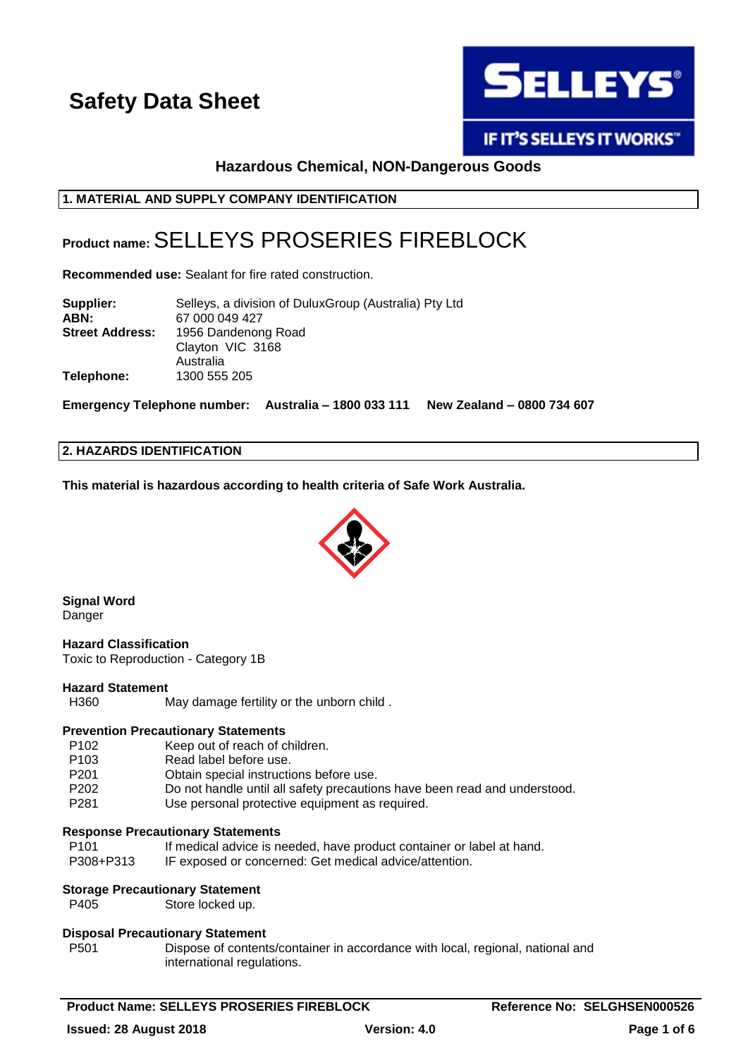

IF IT'S SELLEYS IT WORKS"

## **Hazardous Chemical, NON-Dangerous Goods**

## **1. MATERIAL AND SUPPLY COMPANY IDENTIFICATION**

## **Product name:** SELLEYS PROSERIES FIREBLOCK

**Recommended use:** Sealant for fire rated construction.

| Supplier:              | Selleys, a division of Dulux Group (Australia) Pty Ltd |  |
|------------------------|--------------------------------------------------------|--|
| ABN:                   | 67 000 049 427                                         |  |
| <b>Street Address:</b> | 1956 Dandenong Road                                    |  |
|                        | Clayton VIC 3168                                       |  |
|                        | Australia                                              |  |
| Telephone:             | 1300 555 205                                           |  |

**Emergency Telephone number: Australia – 1800 033 111 New Zealand – 0800 734 607**

#### **2. HAZARDS IDENTIFICATION**

**This material is hazardous according to health criteria of Safe Work Australia.**



**Signal Word** Danger

**Hazard Classification** Toxic to Reproduction - Category 1B

#### **Hazard Statement**

H360 May damage fertility or the unborn child .

## **Prevention Precautionary Statements**

- P102 Keep out of reach of children.
- P103 Read label before use.
- P201 Obtain special instructions before use.
- P202 Do not handle until all safety precautions have been read and understood.
- P281 Use personal protective equipment as required.

#### **Response Precautionary Statements**

| P <sub>101</sub> | If medical advice is needed, have product container or label at hand. |
|------------------|-----------------------------------------------------------------------|
| P308+P313        | IF exposed or concerned: Get medical advice/attention.                |

## **Storage Precautionary Statement**

P405 Store locked up.

#### **Disposal Precautionary Statement**

P501 Dispose of contents/container in accordance with local, regional, national and international regulations.

**Product Name: SELLEYS PROSERIES FIREBLOCK Reference No: SELGHSEN000526**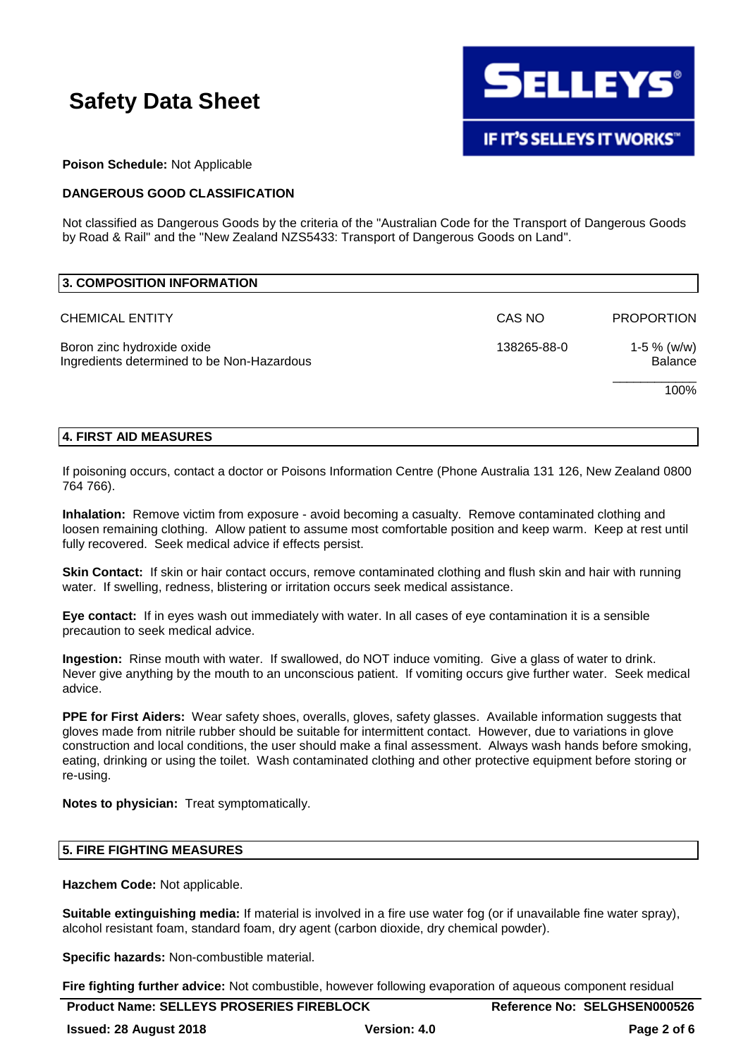

#### **Poison Schedule:** Not Applicable

## **DANGEROUS GOOD CLASSIFICATION**

Not classified as Dangerous Goods by the criteria of the "Australian Code for the Transport of Dangerous Goods by Road & Rail" and the "New Zealand NZS5433: Transport of Dangerous Goods on Land".

| 3. COMPOSITION INFORMATION                                               |             |                                 |
|--------------------------------------------------------------------------|-------------|---------------------------------|
| <b>CHEMICAL ENTITY</b>                                                   | CAS NO      | <b>PROPORTION</b>               |
| Boron zinc hydroxide oxide<br>Ingredients determined to be Non-Hazardous | 138265-88-0 | 1-5 $%$ (w/w)<br><b>Balance</b> |
|                                                                          |             | 100%                            |

#### **4. FIRST AID MEASURES**

If poisoning occurs, contact a doctor or Poisons Information Centre (Phone Australia 131 126, New Zealand 0800 764 766).

**Inhalation:** Remove victim from exposure - avoid becoming a casualty. Remove contaminated clothing and loosen remaining clothing. Allow patient to assume most comfortable position and keep warm. Keep at rest until fully recovered. Seek medical advice if effects persist.

**Skin Contact:** If skin or hair contact occurs, remove contaminated clothing and flush skin and hair with running water. If swelling, redness, blistering or irritation occurs seek medical assistance.

**Eye contact:** If in eyes wash out immediately with water. In all cases of eye contamination it is a sensible precaution to seek medical advice.

**Ingestion:** Rinse mouth with water. If swallowed, do NOT induce vomiting. Give a glass of water to drink. Never give anything by the mouth to an unconscious patient. If vomiting occurs give further water. Seek medical advice.

**PPE for First Aiders:** Wear safety shoes, overalls, gloves, safety glasses. Available information suggests that gloves made from nitrile rubber should be suitable for intermittent contact. However, due to variations in glove construction and local conditions, the user should make a final assessment. Always wash hands before smoking, eating, drinking or using the toilet. Wash contaminated clothing and other protective equipment before storing or re-using.

**Notes to physician:** Treat symptomatically.

#### **5. FIRE FIGHTING MEASURES**

**Hazchem Code:** Not applicable.

**Suitable extinguishing media:** If material is involved in a fire use water fog (or if unavailable fine water spray), alcohol resistant foam, standard foam, dry agent (carbon dioxide, dry chemical powder).

**Specific hazards:** Non-combustible material.

**Fire fighting further advice:** Not combustible, however following evaporation of aqueous component residual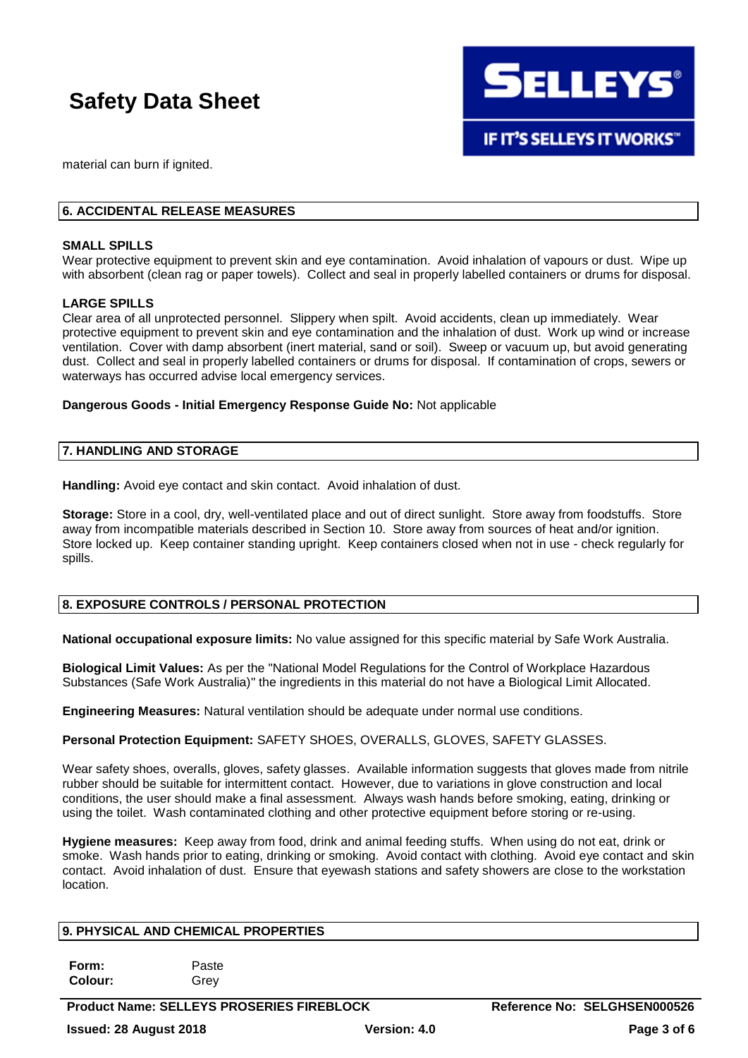

material can burn if ignited.

## **6. ACCIDENTAL RELEASE MEASURES**

#### **SMALL SPILLS**

Wear protective equipment to prevent skin and eye contamination. Avoid inhalation of vapours or dust. Wipe up with absorbent (clean rag or paper towels). Collect and seal in properly labelled containers or drums for disposal.

#### **LARGE SPILLS**

Clear area of all unprotected personnel. Slippery when spilt. Avoid accidents, clean up immediately. Wear protective equipment to prevent skin and eye contamination and the inhalation of dust. Work up wind or increase ventilation. Cover with damp absorbent (inert material, sand or soil). Sweep or vacuum up, but avoid generating dust. Collect and seal in properly labelled containers or drums for disposal. If contamination of crops, sewers or waterways has occurred advise local emergency services.

#### **Dangerous Goods - Initial Emergency Response Guide No:** Not applicable

#### **7. HANDLING AND STORAGE**

Handling: Avoid eye contact and skin contact. Avoid inhalation of dust.

**Storage:** Store in a cool, dry, well-ventilated place and out of direct sunlight. Store away from foodstuffs. Store away from incompatible materials described in Section 10. Store away from sources of heat and/or ignition. Store locked up. Keep container standing upright. Keep containers closed when not in use - check regularly for spills.

## **8. EXPOSURE CONTROLS / PERSONAL PROTECTION**

**National occupational exposure limits:** No value assigned for this specific material by Safe Work Australia.

**Biological Limit Values:** As per the "National Model Regulations for the Control of Workplace Hazardous Substances (Safe Work Australia)" the ingredients in this material do not have a Biological Limit Allocated.

**Engineering Measures:** Natural ventilation should be adequate under normal use conditions.

**Personal Protection Equipment:** SAFETY SHOES, OVERALLS, GLOVES, SAFETY GLASSES.

Wear safety shoes, overalls, gloves, safety glasses. Available information suggests that gloves made from nitrile rubber should be suitable for intermittent contact. However, due to variations in glove construction and local conditions, the user should make a final assessment. Always wash hands before smoking, eating, drinking or using the toilet. Wash contaminated clothing and other protective equipment before storing or re-using.

**Hygiene measures:** Keep away from food, drink and animal feeding stuffs. When using do not eat, drink or smoke. Wash hands prior to eating, drinking or smoking. Avoid contact with clothing. Avoid eye contact and skin contact. Avoid inhalation of dust. Ensure that eyewash stations and safety showers are close to the workstation location.

#### **9. PHYSICAL AND CHEMICAL PROPERTIES**

**Form:** Paste **Colour:** Grey

**Product Name: SELLEYS PROSERIES FIREBLOCK Reference No: SELGHSEN000526 Issued: 28 August 2018 Version: 4.0 Page 3 of 6**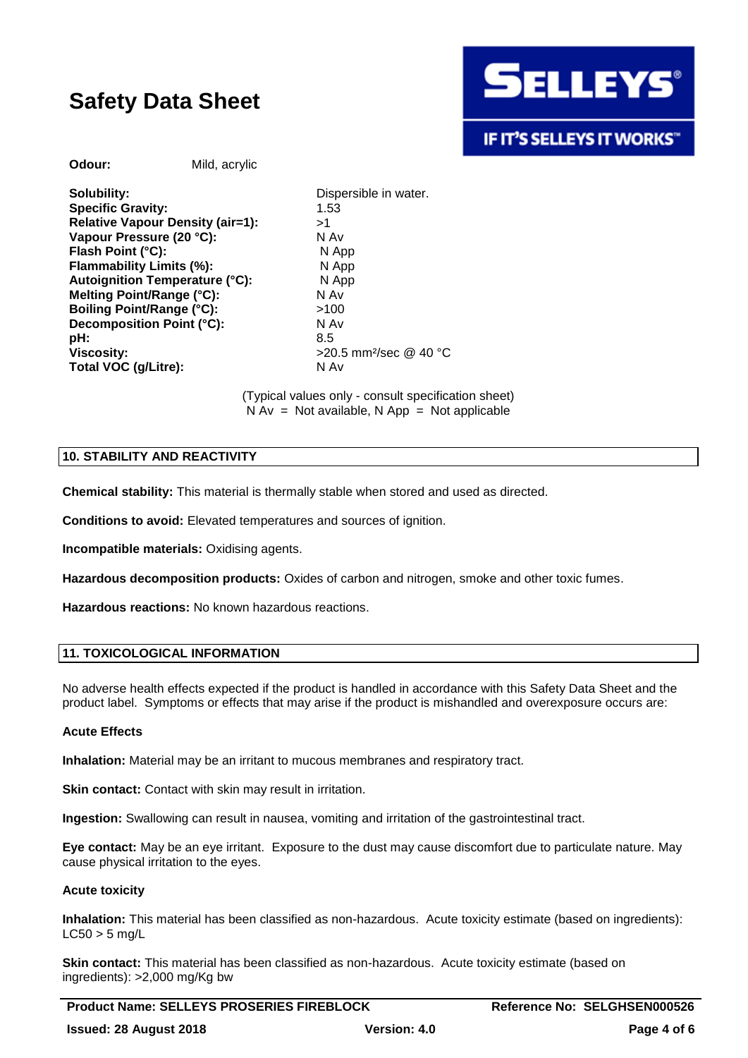

**Odour:** Mild, acrylic

**Solubility:** Dispersible in water. **Specific Gravity:** 1.53 **Relative Vapour Density (air=1):** >1 **Vapour Pressure (20 °C):** N Av **Flash Point (°C):** N App **Flammability Limits (%):** N App **Autoignition Temperature (°C):** N App **Melting Point/Range (°C):** N Av **Boiling Point/Range (°C):**  $>100$ **Decomposition Point (°C):** N Av **pH:** 8.5 **Viscosity:**  $>$ 20.5 mm<sup>2</sup>/sec @ 40 °C **Total VOC (g/Litre):** N Av

(Typical values only - consult specification sheet)  $N Av = Not available, N App = Not applicable$ 

## **10. STABILITY AND REACTIVITY**

**Chemical stability:** This material is thermally stable when stored and used as directed.

**Conditions to avoid:** Elevated temperatures and sources of ignition.

**Incompatible materials:** Oxidising agents.

**Hazardous decomposition products:** Oxides of carbon and nitrogen, smoke and other toxic fumes.

**Hazardous reactions:** No known hazardous reactions.

## **11. TOXICOLOGICAL INFORMATION**

No adverse health effects expected if the product is handled in accordance with this Safety Data Sheet and the product label. Symptoms or effects that may arise if the product is mishandled and overexposure occurs are:

## **Acute Effects**

**Inhalation:** Material may be an irritant to mucous membranes and respiratory tract.

**Skin contact:** Contact with skin may result in irritation.

**Ingestion:** Swallowing can result in nausea, vomiting and irritation of the gastrointestinal tract.

**Eye contact:** May be an eye irritant. Exposure to the dust may cause discomfort due to particulate nature. May cause physical irritation to the eyes.

## **Acute toxicity**

**Inhalation:** This material has been classified as non-hazardous. Acute toxicity estimate (based on ingredients):  $LC50 > 5$  mg/L

**Skin contact:** This material has been classified as non-hazardous. Acute toxicity estimate (based on ingredients): >2,000 mg/Kg bw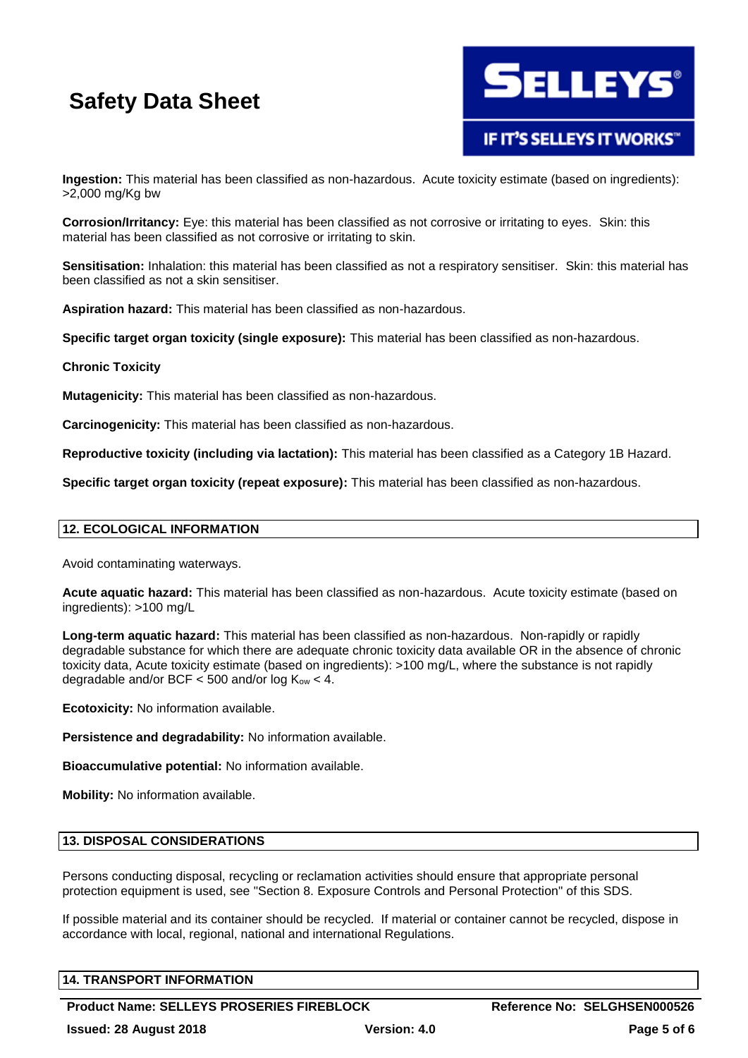

**Ingestion:** This material has been classified as non-hazardous. Acute toxicity estimate (based on ingredients): >2,000 mg/Kg bw

**Corrosion/Irritancy:** Eye: this material has been classified as not corrosive or irritating to eyes. Skin: this material has been classified as not corrosive or irritating to skin.

**Sensitisation:** Inhalation: this material has been classified as not a respiratory sensitiser. Skin: this material has been classified as not a skin sensitiser.

**Aspiration hazard:** This material has been classified as non-hazardous.

**Specific target organ toxicity (single exposure):** This material has been classified as non-hazardous.

#### **Chronic Toxicity**

**Mutagenicity:** This material has been classified as non-hazardous.

**Carcinogenicity:** This material has been classified as non-hazardous.

**Reproductive toxicity (including via lactation):** This material has been classified as a Category 1B Hazard.

**Specific target organ toxicity (repeat exposure):** This material has been classified as non-hazardous.

### **12. ECOLOGICAL INFORMATION**

Avoid contaminating waterways.

**Acute aquatic hazard:** This material has been classified as non-hazardous. Acute toxicity estimate (based on ingredients): >100 mg/L

**Long-term aquatic hazard:** This material has been classified as non-hazardous. Non-rapidly or rapidly degradable substance for which there are adequate chronic toxicity data available OR in the absence of chronic toxicity data, Acute toxicity estimate (based on ingredients): >100 mg/L, where the substance is not rapidly degradable and/or BCF  $<$  500 and/or log  $K_{ow}$  < 4.

**Ecotoxicity:** No information available.

**Persistence and degradability:** No information available.

**Bioaccumulative potential:** No information available.

**Mobility:** No information available.

#### **13. DISPOSAL CONSIDERATIONS**

Persons conducting disposal, recycling or reclamation activities should ensure that appropriate personal protection equipment is used, see "Section 8. Exposure Controls and Personal Protection" of this SDS.

If possible material and its container should be recycled. If material or container cannot be recycled, dispose in accordance with local, regional, national and international Regulations.

## **14. TRANSPORT INFORMATION**

**Product Name: SELLEYS PROSERIES FIREBLOCK Reference No: SELGHSEN000526**